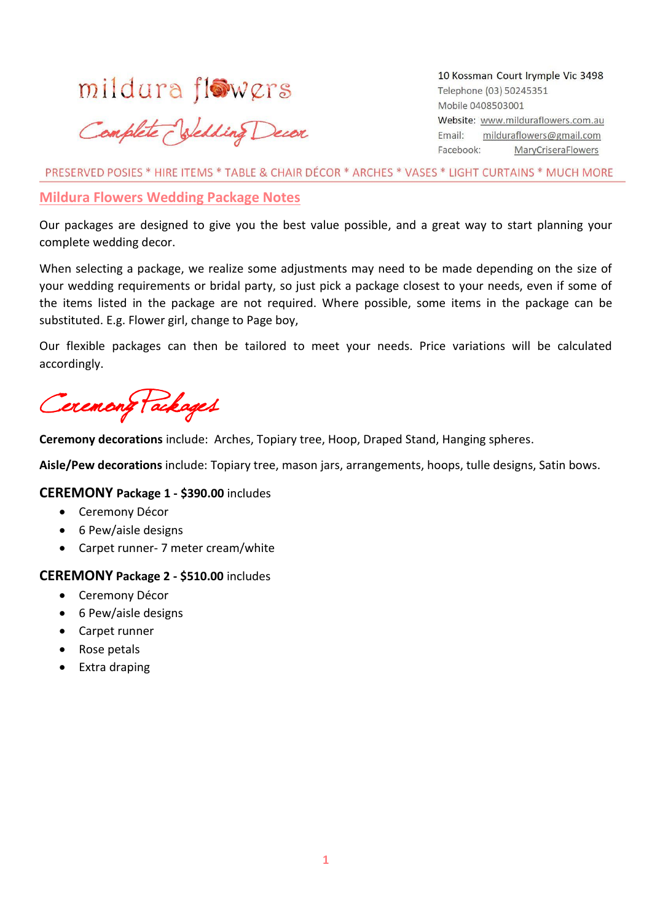# mildura flowers

# Complete Velding Decor

10 Kossman Court Irymple Vic 3498 Telephone (03) 50245351 Mobile 0408503001 Website: www.milduraflowers.com.au milduraflowers@gmail.com Email: Facebook: **MaryCriseraFlowers** 

PRESERVED POSIES \* HIRE ITEMS \* TABLE & CHAIR DÉCOR \* ARCHES \* VASES \* LIGHT CURTAINS \* MUCH MORE

### **Mildura Flowers Wedding Package Notes**

Our packages are designed to give you the best value possible, and a great way to start planning your complete wedding decor.

When selecting a package, we realize some adjustments may need to be made depending on the size of your wedding requirements or bridal party, so just pick a package closest to your needs, even if some of the items listed in the package are not required. Where possible, some items in the package can be substituted. E.g. Flower girl, change to Page boy,

Our flexible packages can then be tailored to meet your needs. Price variations will be calculated accordingly.

Ceremony Packages

**Ceremony decorations** include: Arches, Topiary tree, Hoop, Draped Stand, Hanging spheres.

**Aisle/Pew decorations** include: Topiary tree, mason jars, arrangements, hoops, tulle designs, Satin bows.

### **CEREMONY Package 1 - \$390.00** includes

- Ceremony Décor
- 6 Pew/aisle designs
- Carpet runner- 7 meter cream/white

#### **CEREMONY Package 2 - \$510.00** includes

- Ceremony Décor
- 6 Pew/aisle designs
- Carpet runner
- Rose petals
- Extra draping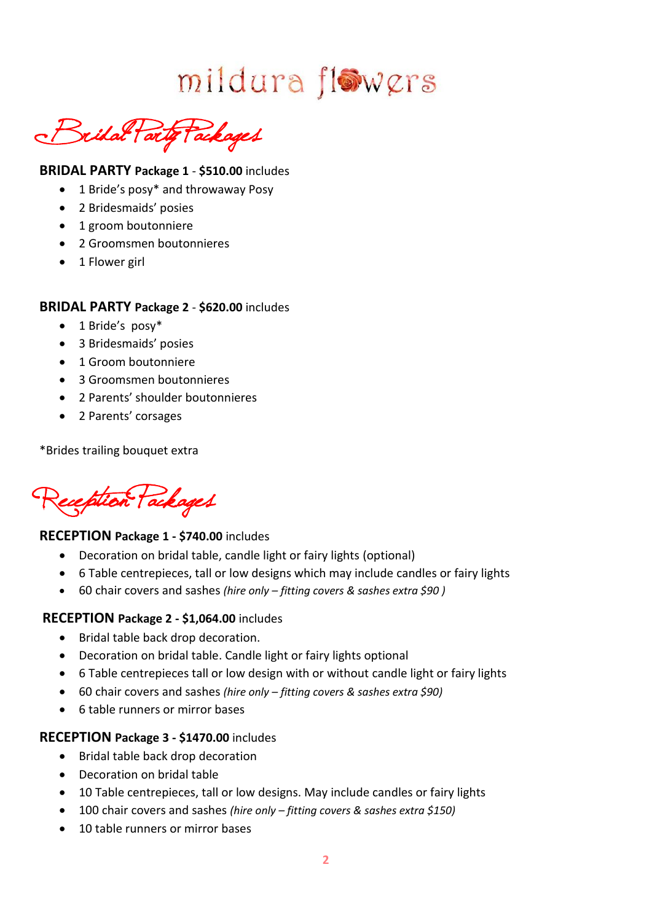mildura flowers

Bridal Party Packages

### **BRIDAL PARTY Package 1** - **\$510.00** includes

- 1 Bride's posy\* and throwaway Posy
- 2 Bridesmaids' posies
- 1 groom boutonniere
- 2 Groomsmen boutonnieres
- 1 Flower girl

### **BRIDAL PARTY Package 2** - **\$620.00** includes

- 1 Bride's posy\*
- 3 Bridesmaids' posies
- 1 Groom boutonniere
- 3 Groomsmen boutonnieres
- 2 Parents' shoulder boutonnieres
- 2 Parents' corsages

\*Brides trailing bouquet extra

eception (ackages

### **RECEPTION Package 1 - \$740.00** includes

- Decoration on bridal table, candle light or fairy lights (optional)
- 6 Table centrepieces, tall or low designs which may include candles or fairy lights
- 60 chair covers and sashes *(hire only – fitting covers & sashes extra \$90 )*

### **RECEPTION Package 2 - \$1,064.00** includes

- Bridal table back drop decoration.
- Decoration on bridal table. Candle light or fairy lights optional
- 6 Table centrepieces tall or low design with or without candle light or fairy lights
- 60 chair covers and sashes *(hire only – fitting covers & sashes extra \$90)*
- 6 table runners or mirror bases

### **RECEPTION Package 3 - \$1470.00** includes

- Bridal table back drop decoration
- Decoration on bridal table
- 10 Table centrepieces, tall or low designs. May include candles or fairy lights
- 100 chair covers and sashes *(hire only – fitting covers & sashes extra \$150)*
- 10 table runners or mirror bases